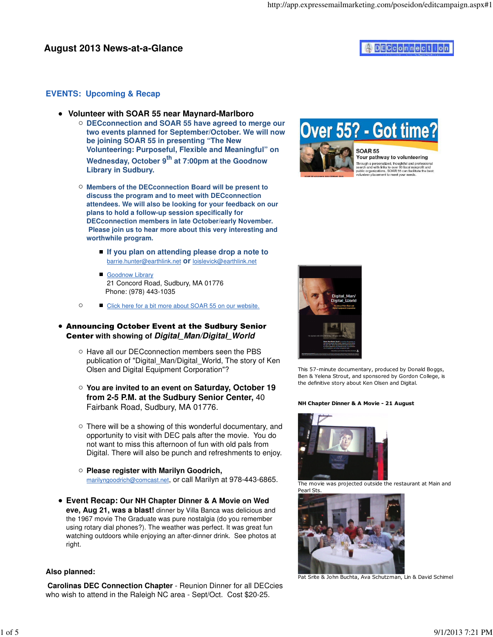## **EVENTS: Upcoming & Recap**

- **Volunteer with SOAR 55 near Maynard-Marlboro**
	- **DECconnection and SOAR 55 have agreed to merge our two events planned for September/October. We will now be joining SOAR 55 in presenting "The New Volunteering: Purposeful, Flexible and Meaningful" on Wednesday, October 9th at 7:00pm at the Goodnow Library in Sudbury.**
	- **Members of the DECconnection Board will be present to discuss the program and to meet with DECconnection attendees. We will also be looking for your feedback on our plans to hold a follow-up session specifically for DECconnection members in late October/early November. Please join us to hear more about this very interesting and worthwhile program.**
		- If you plan on attending please drop a note to barrie.hunter@earthlink.net **or** loislevick@earthlink.net
		- **Goodnow Library** 21 Concord Road, Sudbury, MA 01776 Phone: (978) 443-1035
	- $\circ$ Click here for a bit more about SOAR 55 on our website.

### Announcing October Event at the Sudbury Senior Center **with showing of Digital\_Man/Digital\_World**

- $\circ$  Have all our DEC connection members seen the PBS publication of "Digital\_Man/Digital\_World, The story of Ken Olsen and Digital Equipment Corporation"?
- **You are invited to an event on Saturday, October 19 from 2-5 P.M. at the Sudbury Senior Center,** 40 Fairbank Road, Sudbury, MA 01776.
- There will be a showing of this wonderful documentary, and opportunity to visit with DEC pals after the movie. You do not want to miss this afternoon of fun with old pals from Digital. There will also be punch and refreshments to enjoy.
- **Please register with Marilyn Goodrich,** marilyngoodrich@comcast.net, or call Marilyn at 978-443-6865.
- **Event Recap: Our NH Chapter Dinner & A Movie on Wed eve, Aug 21, was a blast!** dinner by Villa Banca was delicious and the 1967 movie The Graduate was pure nostalgia (do you remember using rotary dial phones?). The weather was perfect. It was great fun watching outdoors while enjoying an after-dinner drink. See photos at right.

### **Also planned:**

**Carolinas DEC Connection Chapter** - Reunion Dinner for all DECcies who wish to attend in the Raleigh NC area - Sept/Oct. Cost \$20-25.





Your pathway to volunteering Through a personalized, thoughtful and professional<br>search and with links to over 80 local nonprofit and<br>public organizations, SOAR 55 can facilitate the best<br>volunteer placement to meet your needs.



This 57-minute documentary, produced by Donald Boggs, Ben & Yelena Strout, and sponsored by Gordon College, is the definitive story about Ken Olsen and Digital.

#### NH Chapter Dinner & A Movie - 21 August



The movie was projected outside the restaurant at Main and Pearl Sts.



Pat Srite & John Buchta, Ava Schutzman, Lin & David Schimel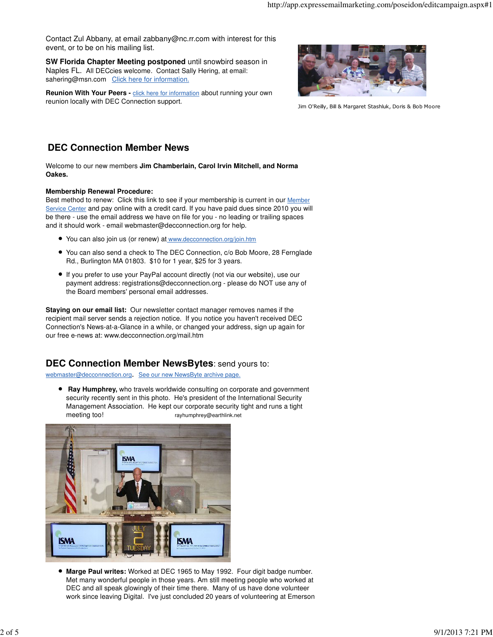Contact Zul Abbany, at email zabbany@nc.rr.com with interest for this event, or to be on his mailing list.

**SW Florida Chapter Meeting postponed** until snowbird season in Naples FL. All DECcies welcome. Contact Sally Hering, at email: sahering@msn.com Click here for information.

**Reunion With Your Peers -** click here for information about running your own reunion locally with DEC Connection support.



Jim O'Reilly, Bill & Margaret Stashluk, Doris & Bob Moore

# **DEC Connection Member News**

Welcome to our new members **Jim Chamberlain, Carol Irvin Mitchell, and Norma Oakes.**

#### **Membership Renewal Procedure:**

Best method to renew: Click this link to see if your membership is current in our Member Service Center and pay online with a credit card. If you have paid dues since 2010 you will be there - use the email address we have on file for you - no leading or trailing spaces and it should work - email webmaster@decconnection.org for help.

- You can also join us (or renew) at www.decconnection.org/join.htm
- You can also send a check to The DEC Connection, c/o Bob Moore, 28 Fernglade Rd., Burlington MA 01803. \$10 for 1 year, \$25 for 3 years.
- If you prefer to use your PayPal account directly (not via our website), use our payment address: registrations@decconnection.org - please do NOT use any of the Board members' personal email addresses.

**Staying on our email list:** Our newsletter contact manager removes names if the recipient mail server sends a rejection notice. If you notice you haven't received DEC Connection's News-at-a-Glance in a while, or changed your address, sign up again for our free e-news at: www.decconnection.org/mail.htm

## **DEC Connection Member NewsBytes**: send yours to:

webmaster@decconnection.org. See our new NewsByte archive page.

**• Ray Humphrey,** who travels worldwide consulting on corporate and government security recently sent in this photo. He's president of the International Security Management Association. He kept our corporate security tight and runs a tight meeting too! rayhumphrey@earthlink.net



**Marge Paul writes:** Worked at DEC 1965 to May 1992. Four digit badge number. Met many wonderful people in those years. Am still meeting people who worked at DEC and all speak glowingly of their time there. Many of us have done volunteer work since leaving Digital. I've just concluded 20 years of volunteering at Emerson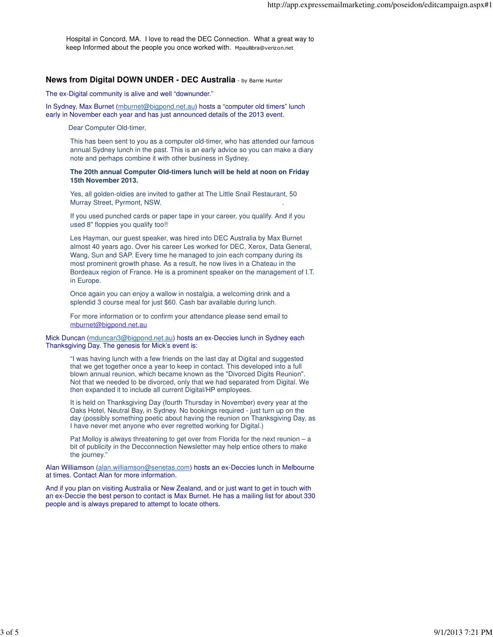Hospital in Concord, MA. I love to read the DEC Connection. What a great way to keep Informed about the people you once worked with. Mpaullibra@verizon.net

#### **News from Digital DOWN UNDER - DEC Australia** - by Barrie Hunter

The ex-Digital community is alive and well "downunder."

In Sydney, Max Burnet (mburnet@bigpond.net.au) hosts a "computer old timers" lunch early in November each year and has just announced details of the 2013 event.

Dear Computer Old-timer,

This has been sent to you as a computer old-timer, who has attended our famous annual Sydney lunch in the past. This is an early advice so you can make a diary note and perhaps combine it with other business in Sydney.

**The 20th annual Computer Old-timers lunch will be held at noon on Friday 15th November 2013.**

Yes, all golden-oldies are invited to gather at The Little Snail Restaurant, 50 Murray Street, Pyrmont, NSW. .

If you used punched cards or paper tape in your career, you qualify. And if you used 8" floppies you qualify too!!

Les Hayman, our guest speaker, was hired into DEC Australia by Max Burnet almost 40 years ago. Over his career Les worked for DEC, Xerox, Data General, Wang, Sun and SAP. Every time he managed to join each company during its most prominent growth phase. As a result, he now lives in a Chateau in the Bordeaux region of France. He is a prominent speaker on the management of I.T. in Europe.

Once again you can enjoy a wallow in nostalgia, a welcoming drink and a splendid 3 course meal for just \$60. Cash bar available during lunch.

For more information or to confirm your attendance please send email to mburnet@bigpond.net.au

Mick Duncan (mduncan3@bigpond.net.au) hosts an ex-Deccies lunch in Sydney each Thanksgiving Day. The genesis for Mick's event is:

"I was having lunch with a few friends on the last day at Digital and suggested that we get together once a year to keep in contact. This developed into a full blown annual reunion, which became known as the "Divorced Digits Reunion". Not that we needed to be divorced, only that we had separated from Digital. We then expanded it to include all current Digital/HP employees.

It is held on Thanksgiving Day (fourth Thursday in November) every year at the Oaks Hotel, Neutral Bay, in Sydney. No bookings required - just turn up on the day (possibly something poetic about having the reunion on Thanksgiving Day, as I have never met anyone who ever regretted working for Digital.)

Pat Molloy is always threatening to get over from Florida for the next reunion – a bit of publicity in the Decconnection Newsletter may help entice others to make the journey."

Alan Williamson (alan.williamson@senetas.com) hosts an ex-Deccies lunch in Melbourne at times. Contact Alan for more information.

And if you plan on visiting Australia or New Zealand, and or just want to get in touch with an ex-Deccie the best person to contact is Max Burnet. He has a mailing list for about 330 people and is always prepared to attempt to locate others.